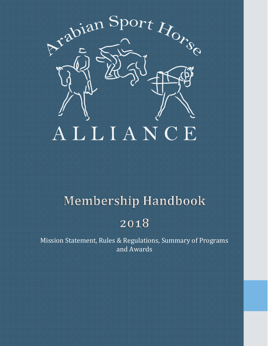

# **Membership Handbook**

# 2018

Mission Statement, Rules & Regulations, Summary of Programs and Awards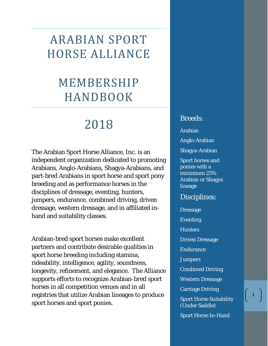# ARABIAN SPORT HORSE ALLIANCE

# MEMBERSHIP HANDBOOK

# 2018

The Arabian Sport Horse Alliance, Inc. is an independent organization dedicated to promoting Arabians, Anglo-Arabians, Shagya-Arabians, and part-bred Arabians in sport horse and sport pony breeding and as performance horses in the disciplines of dressage, eventing, hunters, jumpers, endurance, combined driving, driven dressage, western dressage, and in affiliated inhand and suitability classes.

Arabian-bred sport horses make excellent partners and contribute desirable qualities in sport horse breeding including stamina, rideability, intelligence, agility, soundness, longevity, refinement, and elegance. The Alliance supports efforts to recognize Arabian-bred sport horses in all competition venues and in all registries that utilize Arabian lineages to produce sport horses and sport ponies.

## Breeds:

Arabian

Anglo-Arabian

Shagya-Arabian

Sport horses and ponies with a minimium 25% Arabian or Shagya lineage

# Disciplines:

**Dressage** Eventing **Hunters** Driven Dressage **Endurance Jumpers** Combined Driving Western Dressage Carriage Driving Sport Horse Suitability (Under Saddle) Sport Horse In-Hand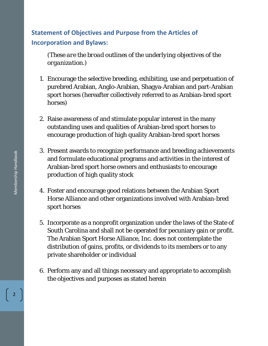# **Statement of Objectives and Purpose from the Articles of Incorporation and Bylaws:**

*(These are the broad outlines of the underlying objectives of the organization.)* 

- 1. Encourage the selective breeding, exhibiting, use and perpetuation of purebred Arabian, Anglo-Arabian, Shagya-Arabian and part-Arabian sport horses (hereafter collectively referred to as Arabian-bred sport horses)
- 2. Raise awareness of and stimulate popular interest in the many outstanding uses and qualities of Arabian-bred sport horses to encourage production of high quality Arabian-bred sport horses
- 3. Present awards to recognize performance and breeding achievements and formulate educational programs and activities in the interest of Arabian-bred sport horse owners and enthusiasts to encourage production of high quality stock
- 4. Foster and encourage good relations between the Arabian Sport Horse Alliance and other organizations involved with Arabian-bred sport horses
- 5. Incorporate as a nonprofit organization under the laws of the State of South Carolina and shall not be operated for pecuniary gain or profit. The Arabian Sport Horse Alliance, Inc. does not contemplate the distribution of gains, profits, or dividends to its members or to any private shareholder or individual
- 6. Perform any and all things necessary and appropriate to accomplish the objectives and purposes as stated herein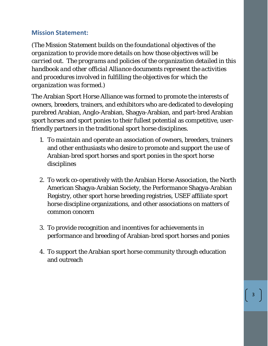## **Mission Statement:**

*(The Mission Statement builds on the foundational objectives of the organization to provide more details on how those objectives will be carried out. The programs and policies of the organization detailed in this handbook and other official Alliance documents represent the activities and procedures involved in fulfilling the objectives for which the organization was formed.)*

The Arabian Sport Horse Alliance was formed to promote the interests of owners, breeders, trainers, and exhibitors who are dedicated to developing purebred Arabian, Anglo-Arabian, Shagya-Arabian, and part-bred Arabian sport horses and sport ponies to their fullest potential as competitive, userfriendly partners in the traditional sport horse disciplines.

- 1. To maintain and operate an association of owners, breeders, trainers and other enthusiasts who desire to promote and support the use of Arabian-bred sport horses and sport ponies in the sport horse disciplines
- 2. To work co-operatively with the Arabian Horse Association, the North American Shagya-Arabian Society, the Performance Shagya-Arabian Registry, other sport horse breeding registries, USEF affiliate sport horse discipline organizations, and other associations on matters of common concern
- 3. To provide recognition and incentives for achievements in performance and breeding of Arabian-bred sport horses and ponies
- 4. To support the Arabian sport horse community through education and outreach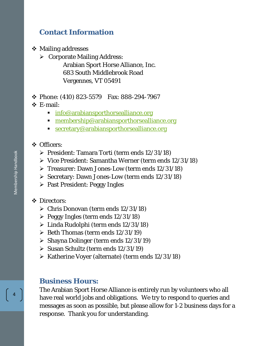# **Contact Information**

**❖ Mailing addresses** 

 $\triangleright$  Corporate Mailing Address: Arabian Sport Horse Alliance, Inc. 683 South Middlebrook Road Vergennes, VT 05491

#### Phone: (410) 823-5579 Fax: 888-294-7967

E-mail:

- **[info@arabiansporthorsealliance.org](mailto:info@arabiansporthorsealliance.org)**
- **[membership@arabiansporthorsealliance.org](mailto:membership@arabiansporthorsealliance.org)**
- **[secretary@arabiansporthorsealliance.org](mailto:secretary@arabiansporthorsealliance.org)**

#### **❖** Officers:

- President: Tamara Torti (term ends 12/31/18)
- $\triangleright$  Vice President: Samantha Werner (term ends 12/31/18)
- Treasurer: Dawn Jones-Low (term ends 12/31/18)
- $\triangleright$  Secretary: Dawn Jones-Low (term ends 12/31/18)
- $\triangleright$  Past President: Peggy Ingles
- Directors:
	- $\triangleright$  Chris Donovan (term ends 12/31/18)
	- $\triangleright$  Peggy Ingles (term ends 12/31/18)
	- Linda Rudolphi (term ends 12/31/18)
	- $\triangleright$  Beth Thomas (term ends 12/31/19)
	- $\triangleright$  Shayna Dolinger (term ends 12/31/19)
	- $\triangleright$  Susan Schultz (term ends 12/31/19)
	- $\triangleright$  Katherine Voyer (alternate) (term ends 12/31/18)

## **Business Hours:**

The Arabian Sport Horse Alliance is entirely run by volunteers who all have real world jobs and obligations. We try to respond to queries and messages as soon as possible, but please allow for 1-2 business days for a response. Thank you for understanding.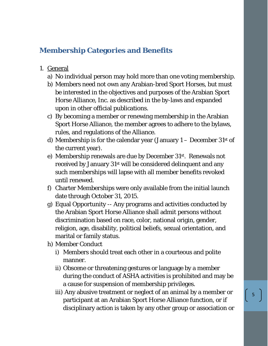# **Membership Categories and Benefits**

- 1. General
	- a) No individual person may hold more than one voting membership.
	- b) Members need not own any Arabian-bred Sport Horses, but must be interested in the objectives and purposes of the Arabian Sport Horse Alliance, Inc. as described in the by-laws and expanded upon in other official publications.
	- c) By becoming a member or renewing membership in the Arabian Sport Horse Alliance, the member agrees to adhere to the bylaws, rules, and regulations of the Alliance.
	- d) Membership is for the calendar year (January  $1 -$  December 31st of the current year).
	- e) Membership renewals are due by December 31st. Renewals not received by January 31st will be considered delinquent and any such memberships will lapse with all member benefits revoked until renewed.
	- f) Charter Memberships were only available from the initial launch date through October 31, 2015.
	- g) Equal Opportunity -- Any programs and activities conducted by the Arabian Sport Horse Alliance shall admit persons without discrimination based on race, color, national origin, gender, religion, age, disability, political beliefs, sexual orientation, and marital or family status.
	- h) Member Conduct
		- i) Members should treat each other in a courteous and polite manner.
		- ii) Obscene or threatening gestures or language by a member during the conduct of ASHA activities is prohibited and may be a cause for suspension of membership privileges.
		- iii) Any abusive treatment or neglect of an animal by a member or participant at an Arabian Sport Horse Alliance function, or if disciplinary action is taken by any other group or association or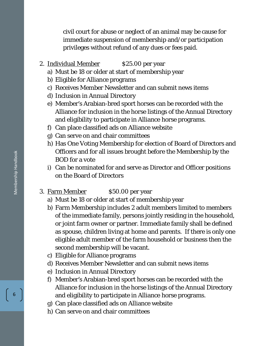civil court for abuse or neglect of an animal may be cause for immediate suspension of membership and/or participation privileges without refund of any dues or fees paid.

- 2. Individual Member \$25.00 per year
	- a) Must be 18 or older at start of membership year
	- b) Eligible for Alliance programs
	- c) Receives Member Newsletter and can submit news items
	- d) Inclusion in Annual Directory
	- e) Member's Arabian-bred sport horses can be recorded with the Alliance for inclusion in the horse listings of the Annual Directory and eligibility to participate in Alliance horse programs.
	- f) Can place classified ads on Alliance website
	- g) Can serve on and chair committees
	- h) Has One Voting Membership for election of Board of Directors and Officers and for all issues brought before the Membership by the BOD for a vote
	- i) Can be nominated for and serve as Director and Officer positions on the Board of Directors
- 3. Farm Member \$50.00 per year
	- a) Must be 18 or older at start of membership year
	- b) Farm Membership includes 2 adult members limited to members of the immediate family, persons jointly residing in the household, or joint farm owner or partner. Immediate family shall be defined as spouse, children living at home and parents. If there is only one eligible adult member of the farm household or business then the second membership will be vacant.
	- c) Eligible for Alliance programs
	- d) Receives Member Newsletter and can submit news items
	- e) Inclusion in Annual Directory
	- f) Member's Arabian-bred sport horses can be recorded with the Alliance for inclusion in the horse listings of the Annual Directory and eligibility to participate in Alliance horse programs.
	- g) Can place classified ads on Alliance website
	- h) Can serve on and chair committees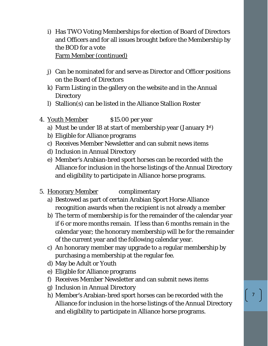- i) Has TWO Voting Memberships for election of Board of Directors and Officers and for all issues brought before the Membership by the BOD for a vote Farm Member (continued)
- j) Can be nominated for and serve as Director and Officer positions on the Board of Directors
- k) Farm Listing in the gallery on the website and in the Annual **Directory**
- l) Stallion(s) can be listed in the Alliance Stallion Roster
- 4. <u>Youth Member</u> \$15.00 per year
	- a) Must be under 18 at start of membership year (January 1st)
	- b) Eligible for Alliance programs
	- c) Receives Member Newsletter and can submit news items
	- d) Inclusion in Annual Directory
	- e) Member's Arabian-bred sport horses can be recorded with the Alliance for inclusion in the horse listings of the Annual Directory and eligibility to participate in Alliance horse programs.
- 5. Honorary Member complimentary
	- a) Bestowed as part of certain Arabian Sport Horse Alliance recognition awards when the recipient is not already a member
	- b) The term of membership is for the remainder of the calendar year if 6 or more months remain. If less than 6 months remain in the calendar year; the honorary membership will be for the remainder of the current year and the following calendar year.
	- c) An honorary member may upgrade to a regular membership by purchasing a membership at the regular fee.
	- d) May be Adult or Youth
	- e) Eligible for Alliance programs
	- f) Receives Member Newsletter and can submit news items
	- g) Inclusion in Annual Directory
	- h) Member's Arabian-bred sport horses can be recorded with the Alliance for inclusion in the horse listings of the Annual Directory and eligibility to participate in Alliance horse programs.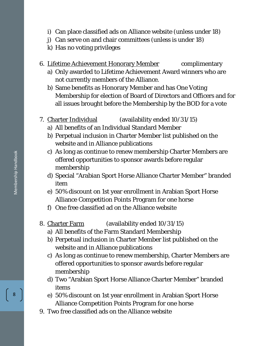- i) Can place classified ads on Alliance website (unless under 18)
- j) Can serve on and chair committees (unless is under 18)
- k) Has no voting privileges
- 6. Lifetime Achievement Honorary Member complimentary
	- a) Only awarded to Lifetime Achievement Award winners who are not currently members of the Alliance.
	- b) Same benefits as Honorary Member and has One Voting Membership for election of Board of Directors and Officers and for all issues brought before the Membership by the BOD for a vote
- 7. Charter Individual (availability ended 10/31/15)
	- a) All benefits of an Individual Standard Member
	- b) Perpetual inclusion in Charter Member list published on the website and in Alliance publications
	- c) As long as continue to renew membership Charter Members are offered opportunities to sponsor awards before regular membership
	- d) Special "Arabian Sport Horse Alliance Charter Member" branded item
	- e) 50% discount on 1st year enrollment in Arabian Sport Horse Alliance Competition Points Program for one horse
	- f) One free classified ad on the Alliance website
- 8. Charter Farm (availability ended 10/31/15)
	- a) All benefits of the Farm Standard Membership
	- b) Perpetual inclusion in Charter Member list published on the website and in Alliance publications
	- c) As long as continue to renew membership, Charter Members are offered opportunities to sponsor awards before regular membership
	- d) Two "Arabian Sport Horse Alliance Charter Member" branded items
	- e) 50% discount on 1st year enrollment in Arabian Sport Horse Alliance Competition Points Program for one horse
- 9. Two free classified ads on the Alliance website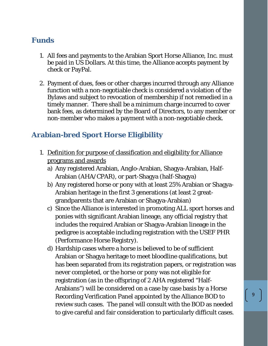# **Funds**

- 1. All fees and payments to the Arabian Sport Horse Alliance, Inc. must be paid in US Dollars. At this time, the Alliance accepts payment by check or PayPal.
- 2. Payment of dues, fees or other charges incurred through any Alliance function with a non-negotiable check is considered a violation of the Bylaws and subject to revocation of membership if not remedied in a timely manner. There shall be a minimum charge incurred to cover bank fees, as determined by the Board of Directors, to any member or non-member who makes a payment with a non-negotiable check.

# **Arabian-bred Sport Horse Eligibility**

- 1. Definition for purpose of classification and eligibility for Alliance programs and awards
	- a) Any registered Arabian, Anglo-Arabian, Shagya-Arabian, Half-Arabian (AHA/CPAR), or part-Shagya (half-Shagya)
	- b) Any registered horse or pony with at least 25% Arabian or Shagya-Arabian heritage in the first 3 generations (at least 2 greatgrandparents that are Arabian or Shagya-Arabian)
	- c) Since the Alliance is interested in promoting ALL sport horses and ponies with significant Arabian lineage, any official registry that includes the required Arabian or Shagya-Arabian lineage in the pedigree is acceptable including registration with the USEF PHR (Performance Horse Registry).
	- d) Hardship cases where a horse is believed to be of sufficient Arabian or Shagya heritage to meet bloodline qualifications, but has been separated from its registration papers, or registration was never completed, or the horse or pony was not eligible for registration (as in the offspring of 2 AHA registered "Half-Arabians") will be considered on a case by case basis by a Horse Recording Verification Panel appointed by the Alliance BOD to review such cases. The panel will consult with the BOD as needed to give careful and fair consideration to particularly difficult cases.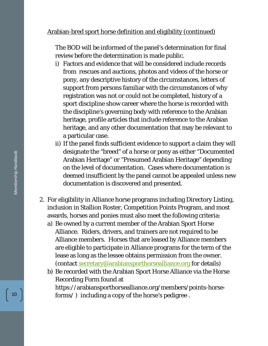#### Arabian-bred sport horse definition and eligibility (continued)

The BOD will be informed of the panel's determination for final review before the determination is made public.

- i) Factors and evidence that will be considered include records from rescues and auctions, photos and videos of the horse or pony, any descriptive history of the circumstances, letters of support from persons familiar with the circumstances of why registration was not or could not be completed, history of a sport discipline show career where the horse is recorded with the discipline's governing body with reference to the Arabian heritage, profile articles that include reference to the Arabian heritage, and any other documentation that may be relevant to a particular case.
- ii) If the panel finds sufficient evidence to support a claim they will designate the "breed" of a horse or pony as either "Documented Arabian Heritage" or "Presumed Arabian Heritage" depending on the level of documentation. Cases where documentation is deemed insufficient by the panel cannot be appealed unless new documentation is discovered and presented.
- 2. For eligibility in Alliance horse programs including Directory Listing, inclusion in Stallion Roster, Competition Points Program, and most awards, horses and ponies must also meet the following criteria:
	- a) Be owned by a current member of the Arabian Sport Horse Alliance. Riders, drivers, and trainers are not required to be Alliance members. Horses that are leased by Alliance members are eligible to participate in Alliance programs for the term of the lease as long as the lessee obtains permission from the owner. (contact [secretary@arabiansporthorsealliance.org](mailto:secretary@arabiansporthorsealliance.org) for details)
	- b) Be recorded with the Arabian Sport Horse Alliance via the Horse Recording Form found at https://arabiansporthorsealliance.org/members/points-horseforms/ ) including a copy of the horse's pedigree .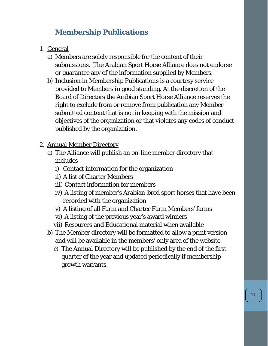# **Membership Publications**

- 1. General
	- a) Members are solely responsible for the content of their submissions. The Arabian Sport Horse Alliance does not endorse or guarantee any of the information supplied by Members.
	- b) Inclusion in Membership Publications is a courtesy service provided to Members in good standing. At the discretion of the Board of Directors the Arabian Sport Horse Alliance reserves the right to exclude from or remove from publication any Member submitted content that is not in keeping with the mission and objectives of the organization or that violates any codes of conduct published by the organization.
- 2. Annual Member Directory
	- a) The Alliance will publish an on-line member directory that includes
		- i) Contact information for the organization
		- ii) A list of Charter Members
		- iii) Contact information for members
		- iv) A listing of member's Arabian-bred sport horses that have been recorded with the organization
		- v) A listing of all Farm and Charter Farm Members' farms
		- vi) A listing of the previous year's award winners
		- vii) Resources and Educational material when available
	- b) The Member directory will be formatted to allow a print version and will be available in the members' only area of the website.
		- c) The Annual Directory will be published by the end of the first quarter of the year and updated periodically if membership growth warrants.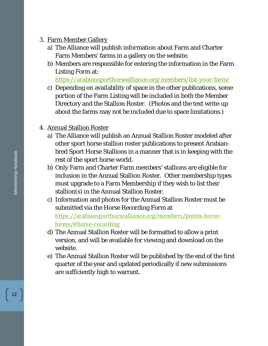## 3. Farm Member Gallery

- a) The Alliance will publish information about Farm and Charter Farm Members' farms in a gallery on the website.
- b) Members are responsible for entering the information in the Farm Listing Form at:

<https://arabiansporthorsealliance.org/members/list-your-farm/>

- c) Depending on availability of space in the other publications, some portion of the Farm Listing will be included in both the Member Directory and the Stallion Roster. (Photos and the text write-up about the farms may not be included due to space limitations.)
- 4. Annual Stallion Roster
	- a) The Alliance will publish an Annual Stallion Roster modeled after other sport horse stallion roster publications to present Arabianbred Sport Horse Stallions in a manner that is in keeping with the rest of the sport horse world.
	- b) Only Farm and Charter Farm members' stallions are eligible for inclusion in the Annual Stallion Roster. Other membership types must upgrade to a Farm Membership if they wish to list their stallion(s) in the Annual Stallion Roster.
	- c) Information and photos for the Annual Stallion Roster must be submitted via the Horse Recording Form at [https://arabiansporthorsealliance.org/members/points-horse](https://arabiansporthorsealliance.org/members/points-horse-forms/#horse-recording)[forms/#horse-recording](https://arabiansporthorsealliance.org/members/points-horse-forms/#horse-recording)
	- d) The Annual Stallion Roster will be formatted to allow a print version, and will be available for viewing and download on the website.
	- e) The Annual Stallion Roster will be published by the end of the first quarter of the year and updated periodically if new submissions are sufficiently high to warrant.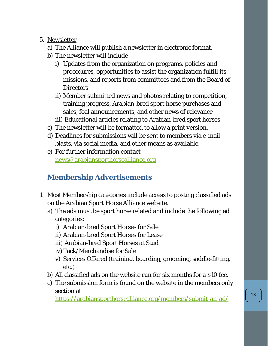## 5. Newsletter

- a) The Alliance will publish a newsletter in electronic format.
- b) The newsletter will include
	- i) Updates from the organization on programs, policies and procedures, opportunities to assist the organization fulfill its missions, and reports from committees and from the Board of **Directors**
	- ii) Member submitted news and photos relating to competition, training progress, Arabian-bred sport horse purchases and sales, foal announcements, and other news of relevance
	- iii) Educational articles relating to Arabian-bred sport horses
- c) The newsletter will be formatted to allow a print version.
- d) Deadlines for submissions will be sent to members via e-mail blasts, via social media, and other means as available.
- e) For further information contact [news@arabiansporthorsealliance.org](mailto:news@arabiansporthorsealliance.org)

# **Membership Advertisements**

- 1. Most Membership categories include access to posting classified ads on the Arabian Sport Horse Alliance website.
	- a) The ads must be sport horse related and include the following ad categories:
		- i) Arabian-bred Sport Horses for Sale
		- ii) Arabian-bred Sport Horses for Lease
		- iii) Arabian-bred Sport Horses at Stud
		- iv)Tack/Merchandise for Sale
		- v) Services Offered (training, boarding, grooming, saddle-fitting, etc.)
	- b) All classified ads on the website run for six months for a \$10 fee.
	- c) The submission form is found on the website in the members only section at

<https://arabiansporthorsealliance.org/members/submit-an-ad/>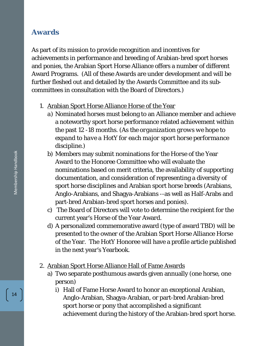# **Awards**

As part of its mission to provide recognition and incentives for achievements in performance and breeding of Arabian-bred sport horses and ponies, the Arabian Sport Horse Alliance offers a number of different Award Programs. (All of these Awards are under development and will be further fleshed out and detailed by the Awards Committee and its subcommittees in consultation with the Board of Directors.)

#### 1. Arabian Sport Horse Alliance Horse of the Year

- *a)* Nominated horses must belong to an Alliance member and achieve a noteworthy sport horse performance related achievement within the past 12 -18 months. *(As the organization grows we hope to expand to have a HotY for each major sport horse performance discipline.)*
- b) Members may submit nominations for the Horse of the Year Award to the Honoree Committee who will evaluate the nominations based on merit criteria, the availability of supporting documentation, and consideration of representing a diversity of sport horse disciplines and Arabian sport horse breeds (Arabians, Anglo-Arabians, and Shagya-Arabians --as well as Half-Arabs and part-bred Arabian-bred sport horses and ponies).
- c) The Board of Directors will vote to determine the recipient for the current year's Horse of the Year Award.
- d) A personalized commemorative award (type of award TBD) will be presented to the owner of the Arabian Sport Horse Alliance Horse of the Year. The HotY Honoree will have a profile article published in the next year's Yearbook.
- 2. Arabian Sport Horse Alliance Hall of Fame Awards
	- a) Two separate posthumous awards given annually (one horse, one person)
		- i) Hall of Fame Horse Award to honor an exceptional Arabian, Anglo-Arabian, Shagya-Arabian, or part-bred Arabian-bred sport horse or pony that accomplished a significant achievement during the history of the Arabian-bred sport horse.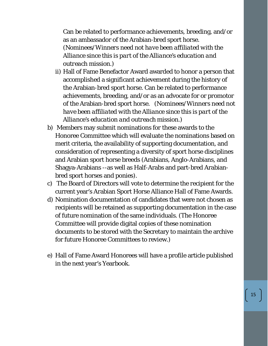Can be related to performance achievements, breeding, and/or as an ambassador of the Arabian-bred sport horse. *(Nominees/Winners need not have been affiliated with the Alliance since this is part of the Alliance's education and outreach mission.)*

- ii) Hall of Fame Benefactor Award awarded to honor a person that accomplished a significant achievement during the history of the Arabian-bred sport horse. Can be related to performance achievements, breeding, and/or as an advocate for or promotor of the Arabian-bred sport horse. *(Nominees/Winners need not have been affiliated with the Alliance since this is part of the Alliance's education and outreach mission.)*
- b) Members may submit nominations for these awards to the Honoree Committee which will evaluate the nominations based on merit criteria, the availability of supporting documentation, and consideration of representing a diversity of sport horse disciplines and Arabian sport horse breeds (Arabians, Anglo-Arabians, and Shagya-Arabians --as well as Half-Arabs and part-bred Arabianbred sport horses and ponies).
- c) The Board of Directors will vote to determine the recipient for the current year's Arabian Sport Horse Alliance Hall of Fame Awards.
- d) Nomination documentation of candidates that were not chosen as recipients will be retained as supporting documentation in the case of future nomination of the same individuals. (The Honoree Committee will provide digital copies of these nomination documents to be stored with the Secretary to maintain the archive for future Honoree Committees to review.)
- e) Hall of Fame Award Honorees will have a profile article published in the next year's Yearbook.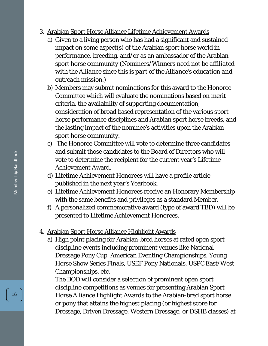- 3. Arabian Sport Horse Alliance Lifetime Achievement Awards
	- a) Given to a living person who has had a significant and sustained impact on some aspect(s) of the Arabian sport horse world in performance, breeding, and/or as an ambassador of the Arabian sport horse community *(Nominees/Winners need not be affiliated with the Alliance since this is part of the Alliance's education and outreach mission.)*
	- b) Members may submit nominations for this award to the Honoree Committee which will evaluate the nominations based on merit criteria, the availability of supporting documentation, consideration of broad based representation of the various sport horse performance disciplines and Arabian sport horse breeds, and the lasting impact of the nominee's activities upon the Arabian sport horse community.
	- c) The Honoree Committee will vote to determine three candidates and submit those candidates to the Board of Directors who will vote to determine the recipient for the current year's Lifetime Achievement Award.
	- d) Lifetime Achievement Honorees will have a profile article published in the next year's Yearbook.
	- e) Lifetime Achievement Honorees receive an Honorary Membership with the same benefits and privileges as a standard Member.
	- f) A personalized commemorative award (type of award TBD) will be presented to Lifetime Achievement Honorees.

## 4. Arabian Sport Horse Alliance Highlight Awards

a) High point placing for Arabian-bred horses at rated open sport discipline events including prominent venues like National Dressage Pony Cup, American Eventing Championships, Young Horse Show Series Finals, USEF Pony Nationals, USPC East/West Championships, etc.

The BOD will consider a selection of prominent open sport discipline competitions as venues for presenting Arabian Sport Horse Alliance Highlight Awards to the Arabian-bred sport horse or pony that attains the highest placing (or highest score for Dressage, Driven Dressage, Western Dressage, or DSHB classes) at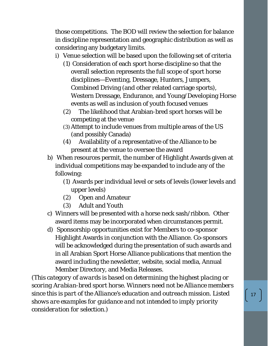those competitions. The BOD will review the selection for balance in discipline representation and geographic distribution as well as considering any budgetary limits.

- i) Venue selection will be based upon the following set of criteria
	- (1) Consideration of each sport horse discipline so that the overall selection represents the full scope of sport horse disciplines—Eventing, Dressage, Hunters, Jumpers, Combined Driving (and other related carriage sports), Western Dressage, Endurance, and Young/Developing Horse events as well as inclusion of youth focused venues
	- (2) The likelihood that Arabian-bred sport horses will be competing at the venue
	- (3)Attempt to include venues from multiple areas of the US (and possibly Canada)
	- (4) Availability of a representative of the Alliance to be present at the venue to oversee the award
- b) When resources permit, the number of Highlight Awards given at individual competitions may be expanded to include any of the following:
	- (1) Awards per individual level or sets of levels (lower levels and upper levels)
	- (2) Open and Amateur
	- (3) Adult and Youth
- c) Winners will be presented with a horse neck sash/ribbon. Other award items may be incorporated when circumstances permit.
- d) Sponsorship opportunities exist for Members to co-sponsor Highlight Awards in conjunction with the Alliance. Co-sponsors will be acknowledged during the presentation of such awards and in all Arabian Sport Horse Alliance publications that mention the award including the newsletter, website, social media, Annual Member Directory, and Media Releases.

*(This category of awards is based on determining the highest placing or scoring Arabian-bred sport horse. Winners need not be Alliance members since this is part of the Alliance's education and outreach mission. Listed shows are examples for guidance and not intended to imply priority consideration for selection.)*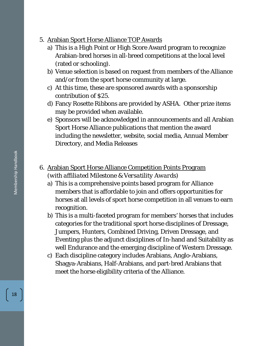- 5. Arabian Sport Horse Alliance TOP Awards
	- a) This is a High Point or High Score Award program to recognize Arabian-bred horses in all-breed competitions at the local level (rated or schooling).
	- b) Venue selection is based on request from members of the Alliance and/or from the sport horse community at large.
	- c) At this time, these are sponsored awards with a sponsorship contribution of \$25.
	- d) Fancy Rosette Ribbons are provided by ASHA. Other prize items may be provided when available.
	- e) Sponsors will be acknowledged in announcements and all Arabian Sport Horse Alliance publications that mention the award including the newsletter, website, social media, Annual Member Directory, and Media Releases
- 6. Arabian Sport Horse Alliance Competition Points Program (*with affiliated Milestone & Versatility Awards*)
	- a) This is a comprehensive points based program for Alliance members that is affordable to join and offers opportunities for horses at all levels of sport horse competition in all venues to earn recognition.
	- b) This is a multi-faceted program for members' horses that includes categories for the traditional sport horse disciplines of Dressage, Jumpers, Hunters, Combined Driving, Driven Dressage, and Eventing plus the adjunct disciplines of In-hand and Suitability as well Endurance and the emerging discipline of Western Dressage.
	- c) Each discipline category includes Arabians, Anglo-Arabians, Shagya-Arabians, Half-Arabians, and part-bred Arabians that meet the horse eligibility criteria of the Alliance.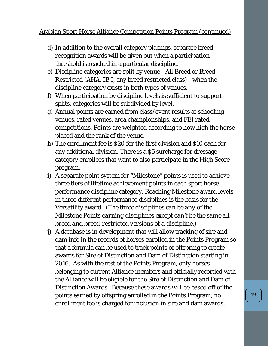### Arabian Sport Horse Alliance Competition Points Program (continued)

- d) In addition to the overall category placings, separate breed recognition awards will be given out when a participation threshold is reached in a particular discipline.
- e) Discipline categories are split by venue –All Breed or Breed Restricted (AHA, IBC, any breed restricted class) - when the discipline category exists in both types of venues.
- f) When participation by discipline levels is sufficient to support splits, categories will be subdivided by level.
- g) Annual points are earned from class/event results at schooling venues, rated venues, area championships, and FEI rated competitions. Points are weighted according to how high the horse placed and the rank of the venue.
- h) The enrollment fee is \$20 for the first division and \$10 each for any additional division. There is a \$5 surcharge for dressage category enrollees that want to also participate in the High Score program.
- i) A separate point system for "Milestone" points is used to achieve three tiers of lifetime achievement points in each sport horse performance discipline category. Reaching Milestone award levels in three different performance disciplines is the basis for the Versatility award. *(The three disciplines can be any of the Milestone Points earning disciplines except can't be the same allbreed and breed-restricted versions of a discipline.)*
- j) A database is in development that will allow tracking of sire and dam info in the records of horses enrolled in the Points Program so that a formula can be used to track points of offspring to create awards for Sire of Distinction and Dam of Distinction starting in 2016. As with the rest of the Points Program, only horses belonging to current Alliance members and officially recorded with the Alliance will be eligible for the Sire of Distinction and Dam of Distinction Awards. Because these awards will be based off of the points earned by offspring enrolled in the Points Program, no enrollment fee is charged for inclusion in sire and dam awards.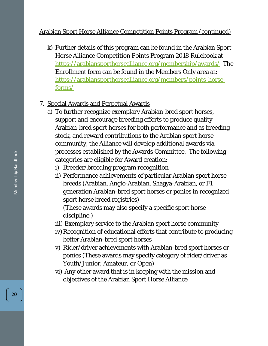## Arabian Sport Horse Alliance Competition Points Program (continued)

k) Further details of this program can be found in the Arabian Sport Horse Alliance Competition Points Program 2018 Rulebook at <https://arabiansporthorsealliance.org/membership/awards/>The Enrollment form can be found in the Members Only area at: [https://arabiansporthorsealliance.org/members/points-horse](https://arabiansporthorsealliance.org/members/points-horse-forms/)[forms/](https://arabiansporthorsealliance.org/members/points-horse-forms/)

## 7. Special Awards and Perpetual Awards

- a) To further recognize exemplary Arabian-bred sport horses, support and encourage breeding efforts to produce quality Arabian-bred sport horses for both performance and as breeding stock, and reward contributions to the Arabian sport horse community, the Alliance will develop additional awards via processes established by the Awards Committee. The following categories are eligible for Award creation:
	- i) Breeder/breeding program recognition
	- ii) Performance achievements of particular Arabian sport horse breeds (Arabian, Anglo-Arabian, Shagya-Arabian, or F1 generation Arabian-bred sport horses or ponies in recognized sport horse breed registries)

(These awards may also specify a specific sport horse discipline.)

- iii) Exemplary service to the Arabian sport horse community
- iv) Recognition of educational efforts that contribute to producing better Arabian-bred sport horses
- v) Rider/driver achievements with Arabian-bred sport horses or ponies (These awards may specify category of rider/driver as Youth/Junior, Amateur, or Open)
- vi) Any other award that is in keeping with the mission and objectives of the Arabian Sport Horse Alliance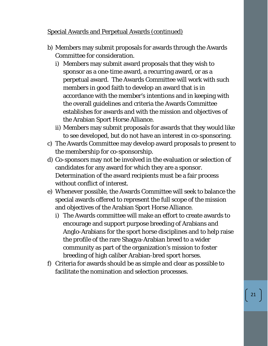## Special Awards and Perpetual Awards (continued)

- b) Members may submit proposals for awards through the Awards Committee for consideration.
	- i) Members may submit award proposals that they wish to sponsor as a one-time award, a recurring award, or as a perpetual award. The Awards Committee will work with such members in good faith to develop an award that is in accordance with the member's intentions and in keeping with the overall guidelines and criteria the Awards Committee establishes for awards and with the mission and objectives of the Arabian Sport Horse Alliance.
	- ii) Members may submit proposals for awards that they would like to see developed, but do not have an interest in co-sponsoring.
- c) The Awards Committee may develop award proposals to present to the membership for co-sponsorship.
- d) Co-sponsors may not be involved in the evaluation or selection of candidates for any award for which they are a sponsor. Determination of the award recipients must be a fair process without conflict of interest.
- e) Whenever possible, the Awards Committee will seek to balance the special awards offered to represent the full scope of the mission and objectives of the Arabian Sport Horse Alliance.
	- i) The Awards committee will make an effort to create awards to encourage and support purpose breeding of Arabians and Anglo-Arabians for the sport horse disciplines and to help raise the profile of the rare Shagya-Arabian breed to a wider community as part of the organization's mission to foster breeding of high caliber Arabian-bred sport horses.
- f) Criteria for awards should be as simple and clear as possible to facilitate the nomination and selection processes.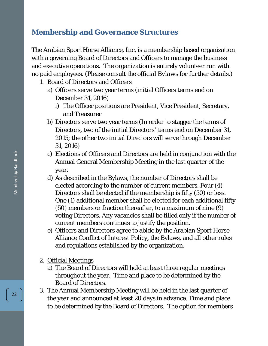# **Membership and Governance Structures**

The Arabian Sport Horse Alliance, Inc. is a membership based organization with a governing Board of Directors and Officers to manage the business and executive operations. The organization is entirely volunteer run with no paid employees. *(Please consult the official Bylaws for further details.)*

- 1. Board of Directors and Officers
	- a) Officers serve two year terms (initial Officers terms end on December 31, 2016)
		- i) The Officer positions are President, Vice President, Secretary, and Treasurer
	- b) Directors serve two year terms (In order to stagger the terms of Directors, two of the initial Directors' terms end on December 31, 2015; the other two initial Directors will serve through December 31, 2016)
	- c) Elections of Officers and Directors are held in conjunction with the Annual General Membership Meeting in the last quarter of the year.
	- d) As described in the Bylaws, the number of Directors shall be elected according to the number of current members. Four (4) Directors shall be elected if the membership is fifty (50) or less. One (1) additional member shall be elected for each additional fifty (50) members or fraction thereafter, to a maximum of nine (9) voting Directors. Any vacancies shall be filled only if the number of current members continues to justify the position.
	- e) Officers and Directors agree to abide by the Arabian Sport Horse Alliance Conflict of Interest Policy, the Bylaws, and all other rules and regulations established by the organization.
- 2. Official Meetings
	- a) The Board of Directors will hold at least three regular meetings throughout the year. Time and place to be determined by the Board of Directors.
- 3. The Annual Membership Meeting will be held in the last quarter of the year and announced at least 20 days in advance. Time and place to be determined by the Board of Directors. The option for members

Membership Handbook Membership Handbook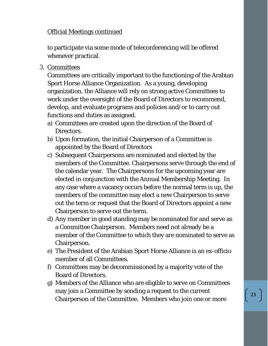## Official Meetings continued

to participate via some mode of teleconferencing will be offered whenever practical.

3. Committees

Committees are critically important to the functioning of the Arabian Sport Horse Alliance Organization. As a young, developing organization, the Alliance will rely on strong active Committees to work under the oversight of the Board of Directors to recommend, develop, and evaluate programs and policies and/or to carry out functions and duties as assigned.

- a) Committees are created upon the direction of the Board of Directors.
- b) Upon formation, the initial Chairperson of a Committee is appointed by the Board of Directors
- c) Subsequent Chairpersons are nominated and elected by the members of the Committee. Chairpersons serve through the end of the calendar year. The Chairpersons for the upcoming year are elected in conjunction with the Annual Membership Meeting. In any case where a vacancy occurs before the normal term is up, the members of the committee may elect a new Chairperson to serve out the term or request that the Board of Directors appoint a new Chairperson to serve out the term.
- d) Any member in good standing may be nominated for and serve as a Committee Chairperson. Members need not already be a member of the Committee to which they are nominated to serve as Chairperson.
- e) The President of the Arabian Sport Horse Alliance is an ex-officio member of all Committees.
- f) Committees may be decommissioned by a majority vote of the Board of Directors.
- g) Members of the Alliance who are eligible to serve on Committees may join a Committee by sending a request to the current Chairperson of the Committee. Members who join one or more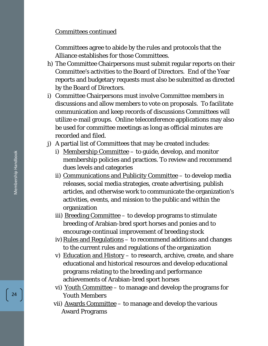#### Committees continued

Committees agree to abide by the rules and protocols that the Alliance establishes for those Committees.

- h) The Committee Chairpersons must submit regular reports on their Committee's activities to the Board of Directors. End of the Year reports and budgetary requests must also be submitted as directed by the Board of Directors.
- i) Committee Chairpersons must involve Committee members in discussions and allow members to vote on proposals. To facilitate communication and keep records of discussions Committees will utilize e-mail groups. Online teleconference applications may also be used for committee meetings as long as official minutes are recorded and filed.
- j) A partial list of Committees that may be created includes:
	- i) Membership Committee  $-$  to guide, develop, and monitor membership policies and practices. To review and recommend dues levels and categories
	- ii) Communications and Publicity Committee to develop media releases, social media strategies, create advertising, publish articles, and otherwise work to communicate the organization's activities, events, and mission to the public and within the organization
	- iii) Breeding Committee to develop programs to stimulate breeding of Arabian-bred sport horses and ponies and to encourage continual improvement of breeding stock
	- iv) Rules and Regulations  $-$  to recommend additions and changes to the current rules and regulations of the organization
	- v) Education and History to research, archive, create, and share educational and historical resources and develop educational programs relating to the breeding and performance achievements of Arabian-bred sport horses
	- vi) Youth Committee to manage and develop the programs for Youth Members
	- vii) Awards Committee to manage and develop the various Award Programs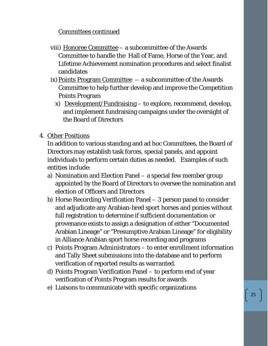## Committees continued

- viii) Honoree Committee a subcommittee of the Awards Committee to handle the Hall of Fame, Horse of the Year, and Lifetime Achievement nomination procedures and select finalist candidates
- ix) Points Program Committee -- a subcommittee of the Awards Committee to help further develop and improve the Competition Points Program
	- x) Development/Fundraising to explore, recommend, develop, and implement fundraising campaigns under the oversight of the Board of Directors
- 4. Other Positions

In addition to various standing and ad hoc Committees, the Board of Directors may establish task forces, special panels, and appoint individuals to perform certain duties as needed. Examples of such entities include:

- a) Nomination and Election Panel a special few member group appointed by the Board of Directors to oversee the nomination and election of Officers and Directors
- b) Horse Recording Verification Panel 3 person panel to consider and adjudicate any Arabian-bred sport horses and ponies without full registration to determine if sufficient documentation or provenance exists to assign a designation of either "Documented Arabian Lineage" or "Presumptive Arabian Lineage" for eligibility in Alliance Arabian sport horse recording and programs
- c) Points Program Administrators to enter enrollment information and Tally Sheet submissions into the database and to perform verification of reported results as warranted.
- d) Points Program Verification Panel to perform end of year verification of Points Program results for awards
- e) Liaisons to communicate with specific organizations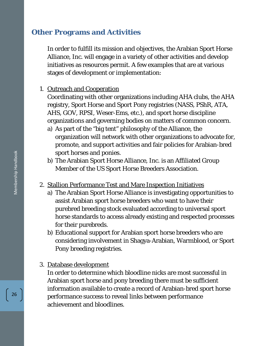## **Other Programs and Activities**

In order to fulfill its mission and objectives, the Arabian Sport Horse Alliance, Inc. will engage in a variety of other activities and develop initiatives as resources permit. A few examples that are at various stages of development or implementation:

#### 1. Outreach and Cooperation

Coordinating with other organizations including AHA clubs, the AHA registry, Sport Horse and Sport Pony registries (NASS, PShR, ATA, AHS, GOV, RPSI, Weser-Ems, etc.), and sport horse discipline organizations and governing bodies on matters of common concern.

- a) As part of the "big tent" philosophy of the Alliance, the organization will network with other organizations to advocate for, promote, and support activities and fair policies for Arabian-bred sport horses and ponies.
- b) The Arabian Sport Horse Alliance, Inc. is an Affiliated Group Member of the US Sport Horse Breeders Association.
- 2. Stallion Performance Test and Mare Inspection Initiatives
	- a) The Arabian Sport Horse Alliance is investigating opportunities to assist Arabian sport horse breeders who want to have their purebred breeding stock evaluated according to universal sport horse standards to access already existing and respected processes for their purebreds.
	- b) Educational support for Arabian sport horse breeders who are considering involvement in Shagya-Arabian, Warmblood, or Sport Pony breeding registries.

#### 3. Database development

In order to determine which bloodline nicks are most successful in Arabian sport horse and pony breeding there must be sufficient information available to create a record of Arabian-bred sport horse performance success to reveal links between performance achievement and bloodlines.